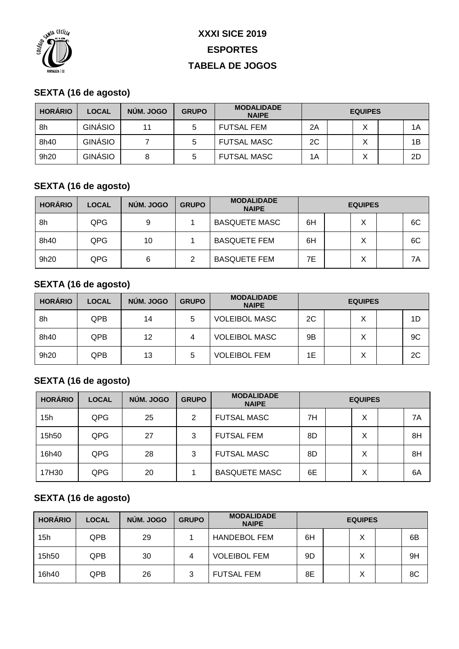

# **XXXI SICE 2019 ESPORTES TABELA DE JOGOS**

### **SEXTA (16 de agosto)**

| <b>HORÁRIO</b> | <b>LOCAL</b>   | NÚM. JOGO | <b>GRUPO</b> | <b>MODALIDADE</b><br><b>NAIPE</b> | <b>EQUIPES</b> |  |  |  |    |
|----------------|----------------|-----------|--------------|-----------------------------------|----------------|--|--|--|----|
| 8h             | GINÁSIO        | 11        | 5            | FUTSAL FEM                        | 2A             |  |  |  | 1A |
| 8h40           | <b>GINÁSIO</b> |           | 5            | <b>FUTSAL MASC</b>                | 2C             |  |  |  | 1B |
| 9h20           | <b>GINÁSIO</b> |           | 5            | <b>FUTSAL MASC</b>                | 1A             |  |  |  | 2D |

### **SEXTA (16 de agosto)**

| <b>HORÁRIO</b> | <b>LOCAL</b> | NÚM. JOGO | <b>GRUPO</b> | <b>MODALIDADE</b><br><b>NAIPE</b> | <b>EQUIPES</b> |  |   |  |    |
|----------------|--------------|-----------|--------------|-----------------------------------|----------------|--|---|--|----|
| 8h             | QPG          | 9         |              | <b>BASQUETE MASC</b>              | 6H             |  | X |  | 6C |
| 8h40           | QPG          | 10        |              | <b>BASQUETE FEM</b>               | 6H             |  | Χ |  | 6C |
| 9h20           | QPG          | 6         | 2            | <b>BASQUETE FEM</b>               | 7Е             |  | х |  | 7Α |

### **SEXTA (16 de agosto)**

| <b>HORÁRIO</b> | <b>LOCAL</b> | NÚM. JOGO | <b>GRUPO</b> | <b>MODALIDADE</b><br><b>NAIPE</b> | <b>EQUIPES</b> |  |        |  |    |
|----------------|--------------|-----------|--------------|-----------------------------------|----------------|--|--------|--|----|
| 8h             | QPB          | 14        | 5            | <b>VOLEIBOL MASC</b>              | 2C             |  | ✓<br>∧ |  | 1D |
| 8h40           | QPB          | 12        | 4            | <b>VOLEIBOL MASC</b>              | 9Β             |  | X      |  | 9C |
| 9h20           | QPB          | 13        | 5            | <b>VOLEIBOL FEM</b>               | 1Е             |  | v<br>∧ |  | 2C |

#### **SEXTA (16 de agosto)**

| <b>HORÁRIO</b> | <b>LOCAL</b> | NÚM. JOGO | <b>GRUPO</b> | <b>MODALIDADE</b><br><b>NAIPE</b> | <b>EQUIPES</b> |  |   |  |    |
|----------------|--------------|-----------|--------------|-----------------------------------|----------------|--|---|--|----|
| 15h            | QPG          | 25        | 2            | <b>FUTSAL MASC</b>                | 7H             |  | Χ |  | 7A |
| 15h50          | QPG          | 27        | 3            | <b>FUTSAL FEM</b>                 | 8D             |  | Х |  | 8H |
| 16h40          | QPG          | 28        | 3            | <b>FUTSAL MASC</b>                | 8D             |  | Х |  | 8H |
| 17H30          | QPG          | 20        |              | <b>BASQUETE MASC</b>              | 6E             |  | Χ |  | 6A |

### **SEXTA (16 de agosto)**

| <b>HORÁRIO</b> | <b>LOCAL</b> | NÚM. JOGO | <b>GRUPO</b> | <b>MODALIDADE</b><br><b>NAIPE</b> | <b>EQUIPES</b> |  |   |  |    |
|----------------|--------------|-----------|--------------|-----------------------------------|----------------|--|---|--|----|
| 15h            | <b>QPB</b>   | 29        |              | <b>HANDEBOL FEM</b>               | 6H             |  | Χ |  | 6B |
| 15h50          | QPB          | 30        | 4            | <b>VOLEIBOL FEM</b>               | 9D             |  | Χ |  | 9H |
| 16h40          | <b>QPB</b>   | 26        | 3            | <b>FUTSAL FEM</b>                 | 8E             |  | Χ |  | 8C |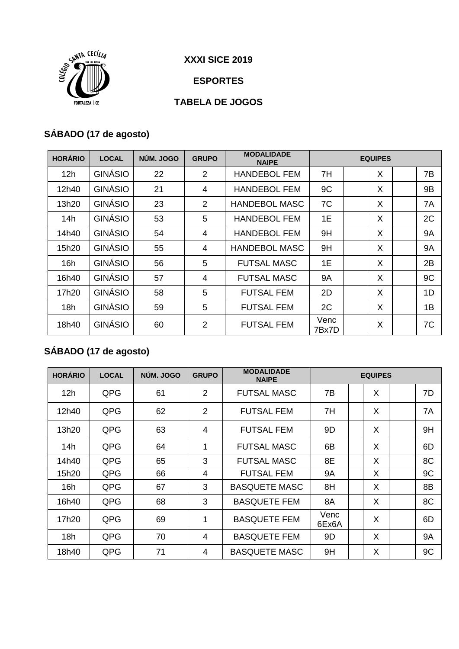

**XXXI SICE 2019**

**ESPORTES**

### **TABELA DE JOGOS**

# **SÁBADO (17 de agosto)**

| <b>HORÁRIO</b> | <b>LOCAL</b>   | NÚM. JOGO | <b>GRUPO</b>   | <b>MODALIDADE</b><br><b>NAIPE</b> | <b>EQUIPES</b> |  |   |  |           |
|----------------|----------------|-----------|----------------|-----------------------------------|----------------|--|---|--|-----------|
| 12h            | <b>GINÁSIO</b> | 22        | 2              | <b>HANDEBOL FEM</b>               | 7H             |  | X |  | 7B        |
| 12h40          | <b>GINÁSIO</b> | 21        | 4              | <b>HANDEBOL FEM</b>               | 9C             |  | X |  | 9B        |
| 13h20          | <b>GINÁSIO</b> | 23        | 2              | <b>HANDEBOL MASC</b>              | 7C             |  | X |  | 7A        |
| 14h            | <b>GINÁSIO</b> | 53        | 5              | <b>HANDEBOL FEM</b>               | 1E             |  | X |  | 2C        |
| 14h40          | <b>GINÁSIO</b> | 54        | $\overline{4}$ | <b>HANDEBOL FEM</b>               | 9H             |  | X |  | <b>9A</b> |
| 15h20          | <b>GINÁSIO</b> | 55        | 4              | <b>HANDEBOL MASC</b>              | 9H             |  | X |  | <b>9A</b> |
| 16h            | <b>GINÁSIO</b> | 56        | 5              | <b>FUTSAL MASC</b>                | 1E             |  | X |  | 2B        |
| 16h40          | <b>GINÁSIO</b> | 57        | 4              | <b>FUTSAL MASC</b>                | <b>9A</b>      |  | X |  | 9C        |
| 17h20          | GINÁSIO        | 58        | 5              | <b>FUTSAL FEM</b>                 | 2D             |  | X |  | 1D        |
| 18h            | GINÁSIO        | 59        | 5              | <b>FUTSAL FEM</b>                 | 2C             |  | X |  | 1B        |
| 18h40          | GINÁSIO        | 60        | 2              | <b>FUTSAL FEM</b>                 | Venc<br>7Bx7D  |  | X |  | 7C        |

## **SÁBADO (17 de agosto)**

| <b>HORÁRIO</b> | <b>LOCAL</b> | NÚM. JOGO | <b>GRUPO</b>   | <b>MODALIDADE</b><br><b>NAIPE</b> | <b>EQUIPES</b> |  |   |  |           |
|----------------|--------------|-----------|----------------|-----------------------------------|----------------|--|---|--|-----------|
| 12h            | QPG          | 61        | $\overline{2}$ | <b>FUTSAL MASC</b>                | 7В             |  | X |  | 7D        |
| 12h40          | QPG          | 62        | $\overline{2}$ | <b>FUTSAL FEM</b>                 | 7H             |  | X |  | 7A        |
| 13h20          | QPG          | 63        | $\overline{4}$ | <b>FUTSAL FEM</b>                 | 9D             |  | X |  | 9H        |
| 14h            | QPG          | 64        | 1              | <b>FUTSAL MASC</b>                | 6B             |  | X |  | 6D        |
| 14h40          | QPG          | 65        | 3              | <b>FUTSAL MASC</b>                | 8E             |  | X |  | 8C        |
| 15h20          | QPG          | 66        | 4              | <b>FUTSAL FEM</b>                 | 9A             |  | X |  | 9C        |
| 16h            | QPG          | 67        | 3              | <b>BASQUETE MASC</b>              | 8H             |  | X |  | 8B        |
| 16h40          | QPG          | 68        | 3              | <b>BASQUETE FEM</b>               | 8A             |  | X |  | 8C        |
| 17h20          | QPG          | 69        | 1              | <b>BASQUETE FEM</b>               | Venc<br>6Ex6A  |  | X |  | 6D        |
| 18h            | QPG          | 70        | 4              | <b>BASQUETE FEM</b>               | 9D             |  | X |  | <b>9A</b> |
| 18h40          | QPG          | 71        | 4              | <b>BASQUETE MASC</b>              | 9H             |  | X |  | 9C        |